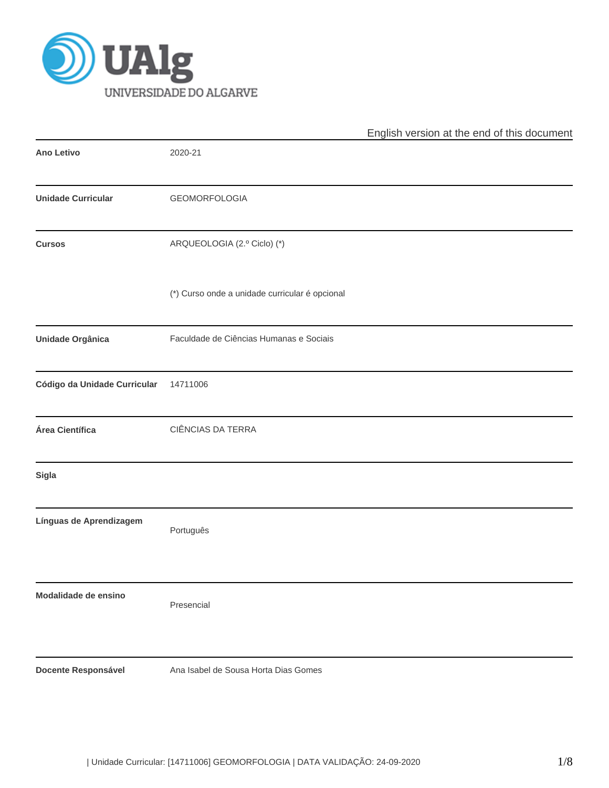

|                              |                                                | English version at the end of this document |
|------------------------------|------------------------------------------------|---------------------------------------------|
| Ano Letivo                   | 2020-21                                        |                                             |
| <b>Unidade Curricular</b>    | <b>GEOMORFOLOGIA</b>                           |                                             |
| <b>Cursos</b>                | ARQUEOLOGIA (2.º Ciclo) (*)                    |                                             |
|                              | (*) Curso onde a unidade curricular é opcional |                                             |
| <b>Unidade Orgânica</b>      | Faculdade de Ciências Humanas e Sociais        |                                             |
| Código da Unidade Curricular | 14711006                                       |                                             |
| Área Científica              | CIÊNCIAS DA TERRA                              |                                             |
| Sigla                        |                                                |                                             |
| Línguas de Aprendizagem      | Português                                      |                                             |
| Modalidade de ensino         | Presencial                                     |                                             |
| Docente Responsável          | Ana Isabel de Sousa Horta Dias Gomes           |                                             |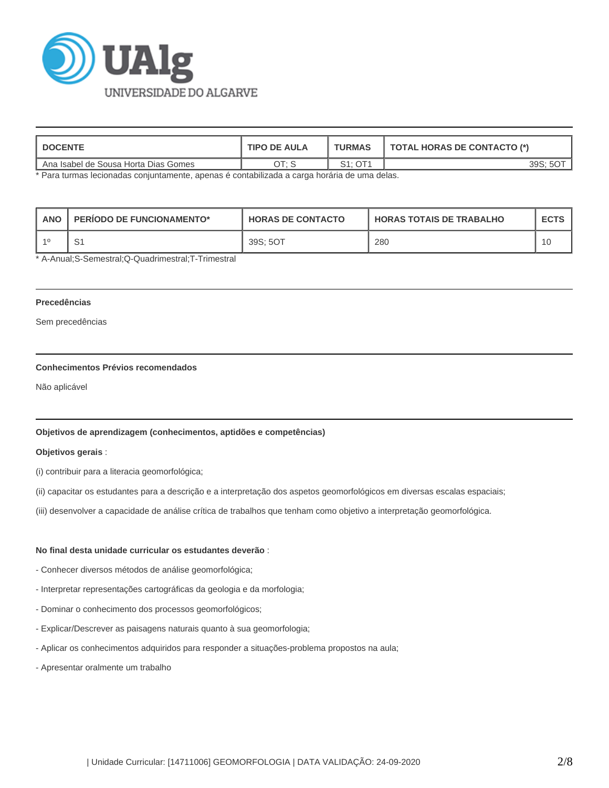

| <b>DOCENTE</b>                        | <b>TIPO DE AULA</b> | <b>TURMAS</b>      | <b>TOTAL HORAS DE CONTACTO (*)</b> |
|---------------------------------------|---------------------|--------------------|------------------------------------|
| 'Ana Isabel de Sousa Horta Dias Gomes | 0 הר                | S1:OT <sup>4</sup> | 39S:                               |

\* Para turmas lecionadas conjuntamente, apenas é contabilizada a carga horária de uma delas.

| <b>ANC</b> | <b>PERIODO DE FUNCIONAMENTO*</b> | <b>HORAS DE CONTACTO</b> | I HORAS TOTAIS DE TRABALHO | <b>ECTS</b> |
|------------|----------------------------------|--------------------------|----------------------------|-------------|
|            |                                  | 39S: 5OT                 | 280                        |             |

\* A-Anual;S-Semestral;Q-Quadrimestral;T-Trimestral

# **Precedências**

Sem precedências

# **Conhecimentos Prévios recomendados**

Não aplicável

# **Objetivos de aprendizagem (conhecimentos, aptidões e competências)**

### **Objetivos gerais** :

(i) contribuir para a literacia geomorfológica;

(ii) capacitar os estudantes para a descrição e a interpretação dos aspetos geomorfológicos em diversas escalas espaciais;

(iii) desenvolver a capacidade de análise crítica de trabalhos que tenham como objetivo a interpretação geomorfológica.

### **No final desta unidade curricular os estudantes deverão** :

- Conhecer diversos métodos de análise geomorfológica;
- Interpretar representações cartográficas da geologia e da morfologia;
- Dominar o conhecimento dos processos geomorfológicos;
- Explicar/Descrever as paisagens naturais quanto à sua geomorfologia;
- Aplicar os conhecimentos adquiridos para responder a situações-problema propostos na aula;
- Apresentar oralmente um trabalho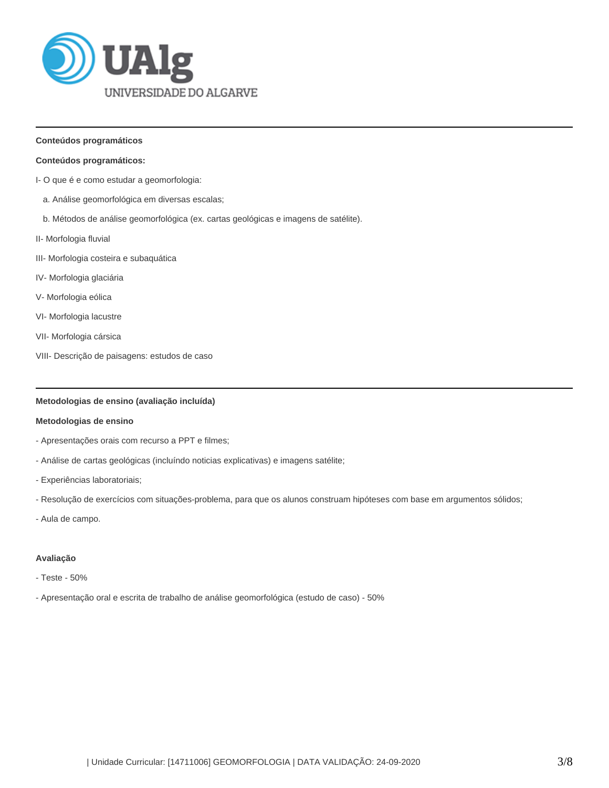

# **Conteúdos programáticos**

#### **Conteúdos programáticos:**

- I- O que é e como estudar a geomorfologia:
	- a. Análise geomorfológica em diversas escalas;
	- b. Métodos de análise geomorfológica (ex. cartas geológicas e imagens de satélite).
- II- Morfologia fluvial
- III- Morfologia costeira e subaquática
- IV- Morfologia glaciária
- V- Morfologia eólica
- VI- Morfologia lacustre
- VII- Morfologia cársica
- VIII- Descrição de paisagens: estudos de caso

### **Metodologias de ensino (avaliação incluída)**

# **Metodologias de ensino**

- Apresentações orais com recurso a PPT e filmes;
- Análise de cartas geológicas (incluíndo noticias explicativas) e imagens satélite;
- Experiências laboratoriais;
- Resolução de exercícios com situações-problema, para que os alunos construam hipóteses com base em argumentos sólidos;
- Aula de campo.

#### **Avaliação**

- Teste 50%
- Apresentação oral e escrita de trabalho de análise geomorfológica (estudo de caso) 50%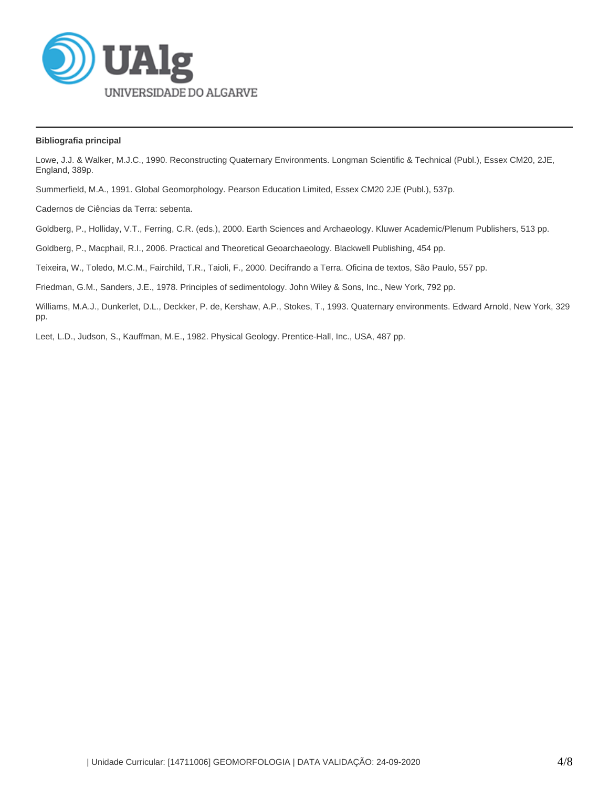

# **Bibliografia principal**

Lowe, J.J. & Walker, M.J.C., 1990. Reconstructing Quaternary Environments. Longman Scientific & Technical (Publ.), Essex CM20, 2JE, England, 389p.

Summerfield, M.A., 1991. Global Geomorphology. Pearson Education Limited, Essex CM20 2JE (Publ.), 537p.

Cadernos de Ciências da Terra: sebenta.

Goldberg, P., Holliday, V.T., Ferring, C.R. (eds.), 2000. Earth Sciences and Archaeology. Kluwer Academic/Plenum Publishers, 513 pp.

Goldberg, P., Macphail, R.I., 2006. Practical and Theoretical Geoarchaeology. Blackwell Publishing, 454 pp.

Teixeira, W., Toledo, M.C.M., Fairchild, T.R., Taioli, F., 2000. Decifrando a Terra. Oficina de textos, São Paulo, 557 pp.

Friedman, G.M., Sanders, J.E., 1978. Principles of sedimentology. John Wiley & Sons, Inc., New York, 792 pp.

Williams, M.A.J., Dunkerlet, D.L., Deckker, P. de, Kershaw, A.P., Stokes, T., 1993. Quaternary environments. Edward Arnold, New York, 329 pp.

Leet, L.D., Judson, S., Kauffman, M.E., 1982. Physical Geology. Prentice-Hall, Inc., USA, 487 pp.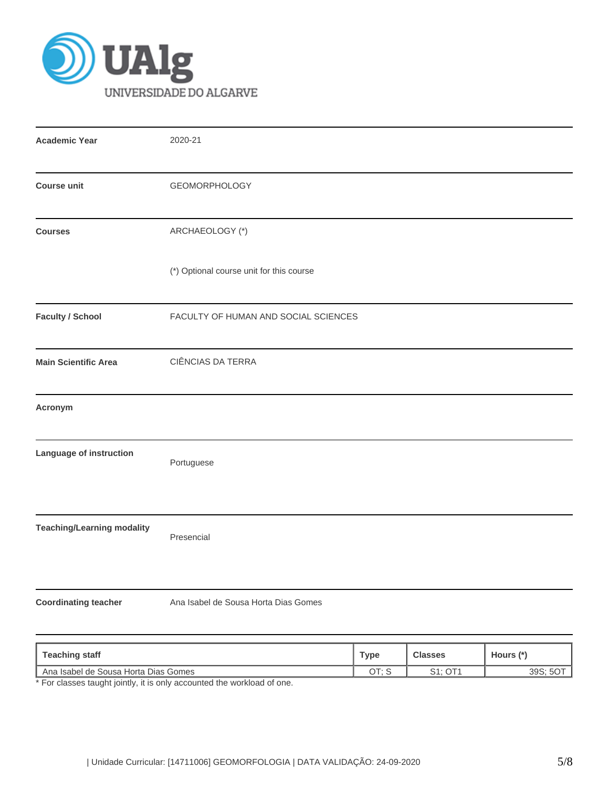

| <b>Academic Year</b>                     | 2020-21                              |             |                |             |  |  |  |
|------------------------------------------|--------------------------------------|-------------|----------------|-------------|--|--|--|
| <b>Course unit</b>                       | <b>GEOMORPHOLOGY</b>                 |             |                |             |  |  |  |
| ARCHAEOLOGY (*)<br><b>Courses</b>        |                                      |             |                |             |  |  |  |
| (*) Optional course unit for this course |                                      |             |                |             |  |  |  |
| <b>Faculty / School</b>                  | FACULTY OF HUMAN AND SOCIAL SCIENCES |             |                |             |  |  |  |
| <b>Main Scientific Area</b>              | CIÊNCIAS DA TERRA                    |             |                |             |  |  |  |
| Acronym                                  |                                      |             |                |             |  |  |  |
| Language of instruction                  | Portuguese                           |             |                |             |  |  |  |
| <b>Teaching/Learning modality</b>        | Presencial                           |             |                |             |  |  |  |
| <b>Coordinating teacher</b>              | Ana Isabel de Sousa Horta Dias Gomes |             |                |             |  |  |  |
| <b>Teaching staff</b>                    |                                      | <b>Type</b> | <b>Classes</b> | Hours $(*)$ |  |  |  |

**Teaching staff Type Classes Hours (\*)** Ana Isabel de Sousa Horta Dias Gomes **OUTER 1998**; SOT<sub>1</sub> OT; S<sub>1</sub>, OT1 39S; SOT<sub>1</sub> 39S; 5OT<sub>1</sub>

\* For classes taught jointly, it is only accounted the workload of one.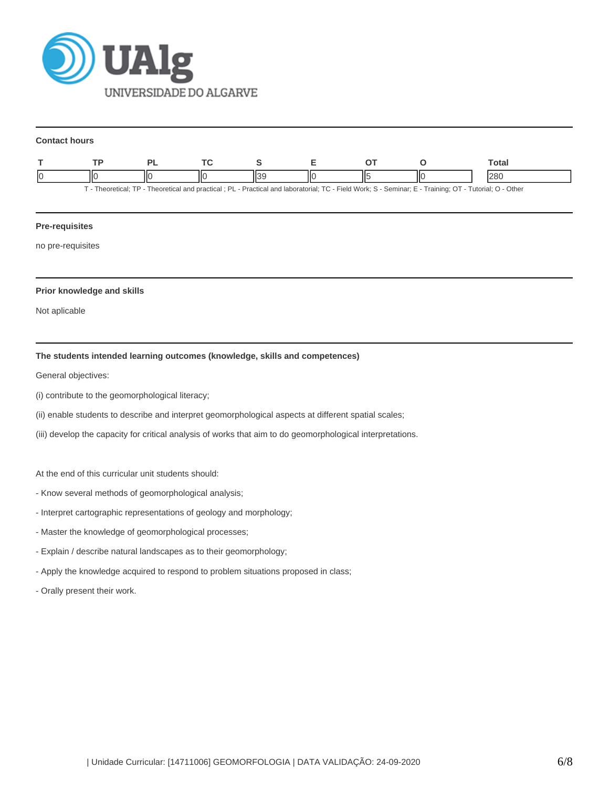

#### **Contact hours**

|                                                                                                                                                         |    |  |  |  |    |  |  | Total |
|---------------------------------------------------------------------------------------------------------------------------------------------------------|----|--|--|--|----|--|--|-------|
|                                                                                                                                                         | IЮ |  |  |  | IЮ |  |  | 280   |
| - Practical and laboratorial: TC - Field Work: S - Seminar: E - Training: OT - Tutorial: O - Other -<br>Theoretical: TP - Theoretical and practical: PL |    |  |  |  |    |  |  |       |

**Pre-requisites**

no pre-requisites

# **Prior knowledge and skills**

Not aplicable

# **The students intended learning outcomes (knowledge, skills and competences)**

General objectives:

- (i) contribute to the geomorphological literacy;
- (ii) enable students to describe and interpret geomorphological aspects at different spatial scales;
- (iii) develop the capacity for critical analysis of works that aim to do geomorphological interpretations.

At the end of this curricular unit students should:

- Know several methods of geomorphological analysis;
- Interpret cartographic representations of geology and morphology;
- Master the knowledge of geomorphological processes;
- Explain / describe natural landscapes as to their geomorphology;
- Apply the knowledge acquired to respond to problem situations proposed in class;
- Orally present their work.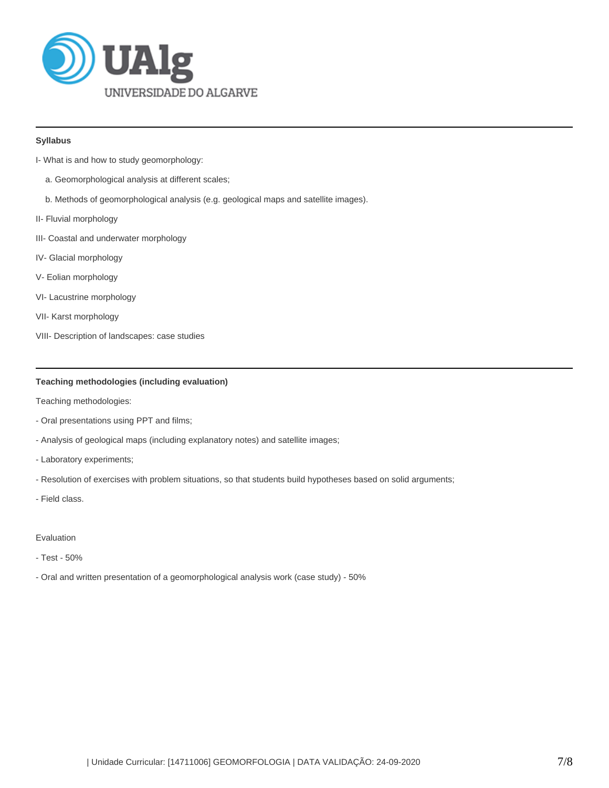

# **Syllabus**

- I- What is and how to study geomorphology:
	- a. Geomorphological analysis at different scales;
	- b. Methods of geomorphological analysis (e.g. geological maps and satellite images).
- II- Fluvial morphology
- III- Coastal and underwater morphology
- IV- Glacial morphology
- V- Eolian morphology
- VI- Lacustrine morphology
- VII- Karst morphology
- VIII- Description of landscapes: case studies

# **Teaching methodologies (including evaluation)**

Teaching methodologies:

- Oral presentations using PPT and films;
- Analysis of geological maps (including explanatory notes) and satellite images;
- Laboratory experiments;
- Resolution of exercises with problem situations, so that students build hypotheses based on solid arguments;
- Field class.

### Evaluation

- Test 50%
- Oral and written presentation of a geomorphological analysis work (case study) 50%